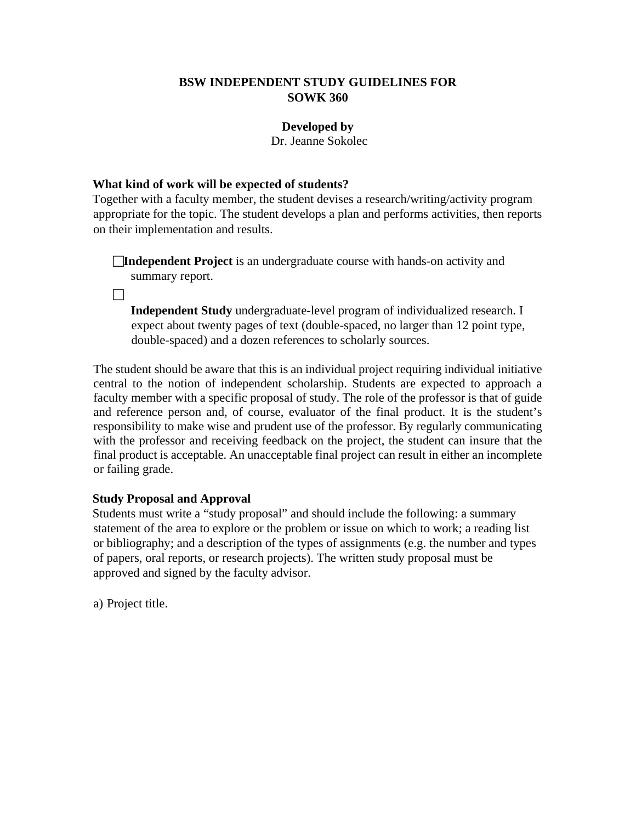## **BSW INDEPENDENT STUDY GUIDELINES FOR SOWK 360**

## **Developed by**

Dr. Jeanne Sokolec

## **What kind of work will be expected of students?**

Together with a faculty member, the student devises a research/writing/activity program appropriate for the topic. The student develops a plan and performs activities, then reports on their implementation and results.

**Independent Project** is an undergraduate course with hands-on activity and summary report.

 $\Box$ 

**Independent Study** undergraduate-level program of individualized research. I expect about twenty pages of text (double-spaced, no larger than 12 point type, double-spaced) and a dozen references to scholarly sources.

The student should be aware that this is an individual project requiring individual initiative central to the notion of independent scholarship. Students are expected to approach a faculty member with a specific proposal of study. The role of the professor is that of guide and reference person and, of course, evaluator of the final product. It is the student's responsibility to make wise and prudent use of the professor. By regularly communicating with the professor and receiving feedback on the project, the student can insure that the final product is acceptable. An unacceptable final project can result in either an incomplete or failing grade.

## **Study Proposal and Approval**

Students must write a "study proposal" and should include the following: a summary statement of the area to explore or the problem or issue on which to work; a reading list or bibliography; and a description of the types of assignments (e.g. the number and types of papers, oral reports, or research projects). The written study proposal must be approved and signed by the faculty advisor.

a) Project title.